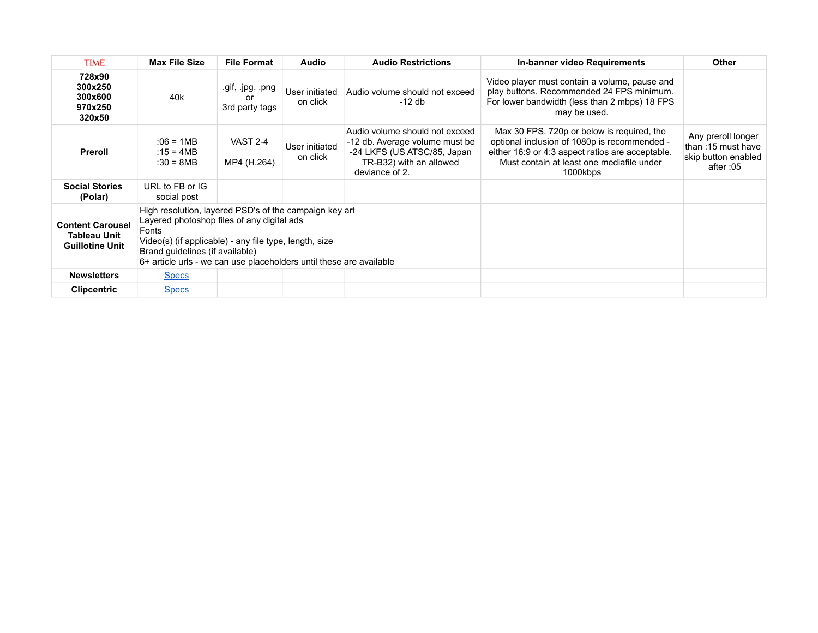| <b>TIME</b>                                                              | <b>Max File Size</b>                                                                                                                                                                                                                                                              | <b>File Format</b>                       | <b>Audio</b>               | <b>Audio Restrictions</b>                                                                                                                    | In-banner video Requirements                                                                                                                                                                            | <b>Other</b>                                                                |
|--------------------------------------------------------------------------|-----------------------------------------------------------------------------------------------------------------------------------------------------------------------------------------------------------------------------------------------------------------------------------|------------------------------------------|----------------------------|----------------------------------------------------------------------------------------------------------------------------------------------|---------------------------------------------------------------------------------------------------------------------------------------------------------------------------------------------------------|-----------------------------------------------------------------------------|
| 728x90<br>300x250<br>300x600<br>970x250<br>320x50                        | 40k                                                                                                                                                                                                                                                                               | .gif, .jpg, .png<br>or<br>3rd party tags | User initiated<br>on click | Audio volume should not exceed<br>-12 db                                                                                                     | Video player must contain a volume, pause and<br>play buttons. Recommended 24 FPS minimum.<br>For lower bandwidth (less than 2 mbps) 18 FPS<br>may be used.                                             |                                                                             |
| Preroll                                                                  | :06 = 1MB<br>:15 = 4MB<br>$:30 = 8MB$                                                                                                                                                                                                                                             | VAST 2-4<br>MP4 (H.264)                  | User initiated<br>on click | Audio volume should not exceed<br>-12 db. Average volume must be<br>-24 LKFS (US ATSC/85, Japan<br>TR-B32) with an allowed<br>deviance of 2. | Max 30 FPS. 720p or below is required, the<br>optional inclusion of 1080p is recommended -<br>either 16:9 or 4:3 aspect ratios are acceptable.<br>Must contain at least one mediafile under<br>1000kbps | Any preroll longer<br>than: 15 must have<br>skip button enabled<br>after:05 |
| <b>Social Stories</b><br>(Polar)                                         | URL to FB or IG<br>social post                                                                                                                                                                                                                                                    |                                          |                            |                                                                                                                                              |                                                                                                                                                                                                         |                                                                             |
| <b>Content Carousel</b><br><b>Tableau Unit</b><br><b>Guillotine Unit</b> | High resolution, layered PSD's of the campaign key art<br>Layered photoshop files of any digital ads<br>Fonts<br>Video(s) (if applicable) - any file type, length, size<br>Brand quidelines (if available)<br>6+ article urls - we can use placeholders until these are available |                                          |                            |                                                                                                                                              |                                                                                                                                                                                                         |                                                                             |
| <b>Newsletters</b>                                                       | <b>Specs</b>                                                                                                                                                                                                                                                                      |                                          |                            |                                                                                                                                              |                                                                                                                                                                                                         |                                                                             |
| <b>Clipcentric</b>                                                       | <b>Specs</b>                                                                                                                                                                                                                                                                      |                                          |                            |                                                                                                                                              |                                                                                                                                                                                                         |                                                                             |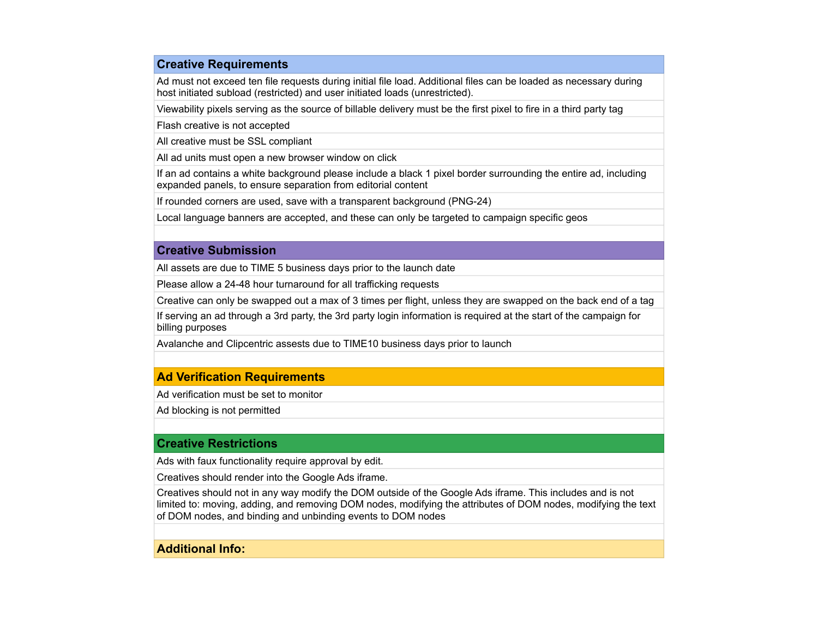# **Creative Requirements**

Ad must not exceed ten file requests during initial file load. Additional files can be loaded as necessary during host initiated subload (restricted) and user initiated loads (unrestricted).

Viewability pixels serving as the source of billable delivery must be the first pixel to fire in a third party tag

Flash creative is not accepted

All creative must be SSL compliant

All ad units must open a new browser window on click

If an ad contains a white background please include a black 1 pixel border surrounding the entire ad, including expanded panels, to ensure separation from editorial content

If rounded corners are used, save with a transparent background (PNG-24)

Local language banners are accepted, and these can only be targeted to campaign specific geos

#### **Creative Submission**

All assets are due to TIME 5 business days prior to the launch date

Please allow a 24-48 hour turnaround for all trafficking requests

Creative can only be swapped out a max of 3 times per flight, unless they are swapped on the back end of a tag

If serving an ad through a 3rd party, the 3rd party login information is required at the start of the campaign for billing purposes

Avalanche and Clipcentric assests due to TIME10 business days prior to launch

## **Ad Verification Requirements**

Ad verification must be set to monitor

Ad blocking is not permitted

#### **Creative Restrictions**

Ads with faux functionality require approval by edit.

Creatives should render into the Google Ads iframe.

Creatives should not in any way modify the DOM outside of the Google Ads iframe. This includes and is not limited to: moving, adding, and removing DOM nodes, modifying the attributes of DOM nodes, modifying the text of DOM nodes, and binding and unbinding events to DOM nodes

## **Additional Info:**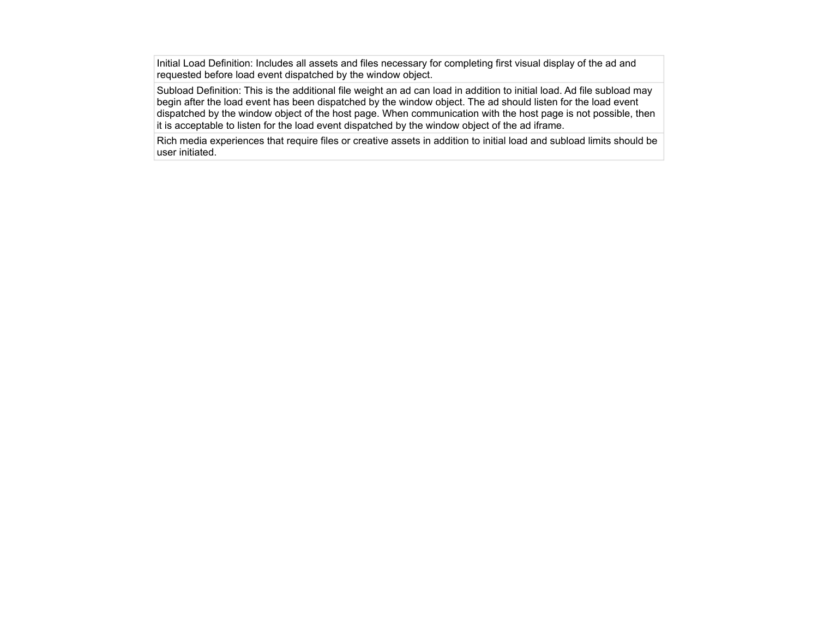Initial Load Definition: Includes all assets and files necessary for completing first visual display of the ad and requested before load event dispatched by the window object.

Subload Definition: This is the additional file weight an ad can load in addition to initial load. Ad file subload may begin after the load event has been dispatched by the window object. The ad should listen for the load event dispatched by the window object of the host page. When communication with the host page is not possible, then it is acceptable to listen for the load event dispatched by the window object of the ad iframe.

Rich media experiences that require files or creative assets in addition to initial load and subload limits should be user initiated.